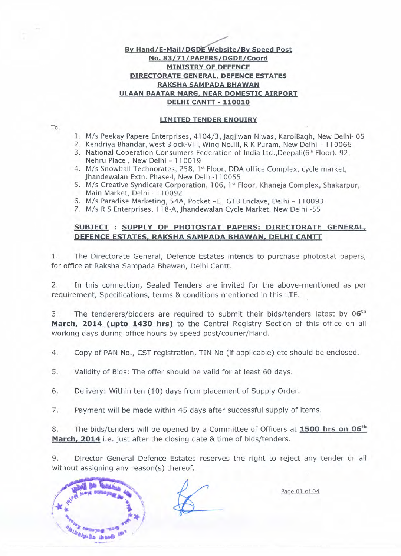## **By Hand/E-Mail/DGDE Website/By Speed Post** No. 83/71/PAPERS/DGDE/Coord **MINISTRY OF DEFENCE DIRECTORATE GENERAL, DEFENCE ESTATES RAKSHA SAMPADA BHAWAN ULAAN BAATAR MARG, NEAR DOMESTIC AIRPORT DELHI CANTT - 110010**

**LIMITED TENDER ENOUIRY**

To,

- l. M/s Peekay Papere Enterprises, 4104/3, Jagjiwan Niwas, KarolBagh, New Delhi- 05
- 2. Kendriya Bhandar, west Block-VIII, Wing No.lIl, R K Puram, New Delhi 110066
- 3. National Coperation Consumers Federation of India Ltd., Deepali(6<sup>th</sup> Floor), 92, Nehru Place, New Delhi - 110019
- 4. M/s Snowball Technorates, 258, 1st Floor, DDA office Complex, cycle market Jhandewalan Extn. Phase-I, New Delhi-11 0055
- 5. M/s Creative Syndicate Corporation, 106, 1st Floor, Khaneja Complex, Shakarpur Main Market, Delhi - 110092
- 6. M/s Paradise Marketing, 54A, Pocket -E, GTB Enclave, Delhi 110093
- 7. M/s R S Enterprises, 118-A, Jhandewalan Cycle Market, New Delhi -55

# **SUBJECT: SUPPLY OF PHOTOSTAT PAPERS: DIRECTORATE GENERAL, DEFENCE ESTATES, RAKSHA SAMPADA BHAWAN, DELHI CANTT**

1. The Directorate General, Defence Estates intends to purchase photostat papers, for office at Raksha Sampada Bhawan, Delhi Cantt.

2. In this connection, Sealed Tenders are invited for the above-mentioned as per requirement, Specifications, terms & conditions mentioned in this LTE.

3. The tenderers/bidders are required to submit their bids/tenders latest by  $06<sup>th</sup>$ **March, 2014 (upto 1430 hrs)** to the Central Registry Section of this office on all working days during office hours by speed post/courier/Hand.

4. Copy of PAN No., CST registration, TIN No (if applicable) etc should be enclosed.

5. Validity of Bids: The offer should be valid for at least 60 days.

6. Delivery: Within ten (10) days from placement of Supply Order.

7. Payment will be made within 45 days after successful supply of items.

8. The bids/tenders will be opened by a Committee of Officers at **1500 hrs on 06th** March, 2014 i.e. just after the closing date & time of bids/tenders.

9. Director General Defence Estates reserves the right to reject any tender or all without assigning any reason(s) thereof.



Page 01 of 04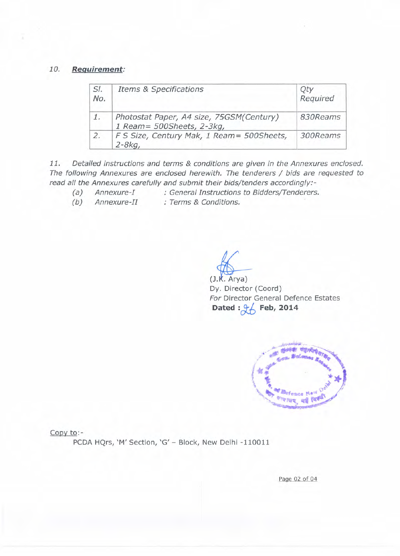# *10. Requirement:*

| SI.<br>No. | <b>Items &amp; Specifications</b>                                      | Required |
|------------|------------------------------------------------------------------------|----------|
| 1.         | Photostat Paper, A4 size, 75GSM(Century)<br>1 Ream = 500Sheets, 2-3kg, | 830Reams |
| 2.         | F S Size, Century Mak, 1 Ream= 500Sheets,<br>$2 - 8kq$                 | 300Reams |

*11. Detailed instructions and terms* & *conditions are given in the Annexures enclosed. The following Annexures are enclosed herewith. The tenderers / bids are requested to read all the Annexures carefully and submit their bids/tenders accordingly:-*

*(a) Annexure-I : General Instructions to Bidders/Tenderers.*

*(b) Annexure-II : Terms* & *Conditions.*

 $\bigoplus$ Dy. Director (Coord) *For* Director General Defence Estates Dated :  $\frac{9}{5}$  Feb, 2014



Copy to:-

PCDA HQrs, 'M' Section, 'G' - Block, New Delhi -110011

Page 02 of 04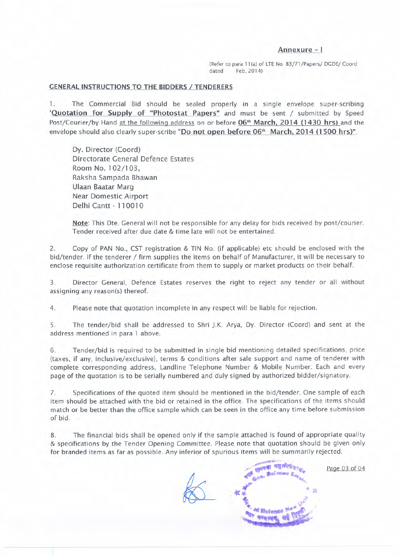### **Annexure - I**

(Refer to para 11 (a) of LTE No. 83/71 /Papers/ DGDE/ Coord dated Feb, 2014)

#### **GENERAL INSTRUCTIONS TO THE BIDDERS / TENDERERS**

1. The Commercial Bid should be sealed properly in a single envelope super-scribing 'Quotation for Supply of "Photostat Papers" and must be sent / submitted by Speed Post/Courier/by Hand at the following address on or before 06<sup>th</sup> March, 2014 (1430 hrs) and the envelope should also clearly super-scribe "Do not open before 06<sup>th</sup> March, 2014 (1500 hrs)".

Dy. Director (Coord) Directorate General Defence Estates Room No.1 02/1 03, Raksha Sampada Bhawan Ulaan Baatar Marg Near Domestic Airport Delhi Cantt - 110010

-- T

Note: This Dte. General will not be responsible for any delay for bids received by post/courier. Tender received after due date & time late will not be entertained.

2. Copy of PAN No., CST registration & TIN No. (if applicable) etc should be enclosed with the bid/tender. If the tenderer / firm supplies the items on behalf of Manufacturer, it will be necessary to enclose requisite authorization certificate from them to supply or market products on their behalf.

3. Director General, Defence Estates reserves the right to reject any tender or all without assigning any reason(s) thereof.

4. Please note that quotation incomplete in any respect will be liable for rejection.

5. The tender/bid shall be addressed to Shri J.K. Arya, Dy. Director (Coord) and sent at the address mentioned in para 1 above.

6. Tender/bid is required to be submitted in single bid mentioning detailed specifications, price (taxes, if any, inclusive/exclusive), terms & conditions after sale support and name of tenderer with complete corresponding address, Landline Telephone Number & Mobile Number. Each and every page of the quotation is to be serially numbered and duly signed by authorized bidder/signatory.

7. Specifications of the quoted item should be mentioned in the bid/tender. One sample of each item should be attached with the bid or retained in the office. The specifications of the items should match or be better than the office sample which can be seen in the office any time before submission of bid.

8. The financial bids shall be opened only if the sample attached is found of appropriate quality & specifications by the Tender Opening Committee. Please note that quotation should be given only for branded items as far as possible. Any inferior of spurious items will be summarily rejected.

*r~';;c>*

**Page 03 of 04**